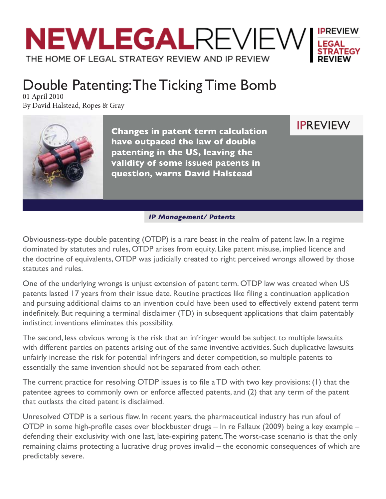

## Double Patenting: The Ticking Time Bomb

01 April 2010 By David Halstead, Ropes & Gray



**Changes in patent term calculation have outpaced the law of double patenting in the US, leaving the validity of some issued patents in question, warns David Halstead**

IPREVIEW

 *IP Management/ Patents*

Obviousness-type double patenting (OTDP) is a rare beast in the realm of patent law. In a regime dominated by statutes and rules, OTDP arises from equity. Like patent misuse, implied licence and the doctrine of equivalents, OTDP was judicially created to right perceived wrongs allowed by those statutes and rules.

One of the underlying wrongs is unjust extension of patent term. OTDP law was created when US patents lasted 17 years from their issue date. Routine practices like filing a continuation application and pursuing additional claims to an invention could have been used to effectively extend patent term indefinitely. But requiring a terminal disclaimer (TD) in subsequent applications that claim patentably indistinct inventions eliminates this possibility.

The second, less obvious wrong is the risk that an infringer would be subject to multiple lawsuits with different parties on patents arising out of the same inventive activities. Such duplicative lawsuits unfairly increase the risk for potential infringers and deter competition, so multiple patents to essentially the same invention should not be separated from each other.

The current practice for resolving OTDP issues is to file a TD with two key provisions: (1) that the patentee agrees to commonly own or enforce affected patents, and (2) that any term of the patent that outlasts the cited patent is disclaimed.

Unresolved OTDP is a serious flaw. In recent years, the pharmaceutical industry has run afoul of OTDP in some high-profile cases over blockbuster drugs – In re Fallaux (2009) being a key example – defending their exclusivity with one last, late-expiring patent. The worst-case scenario is that the only remaining claims protecting a lucrative drug proves invalid – the economic consequences of which are predictably severe.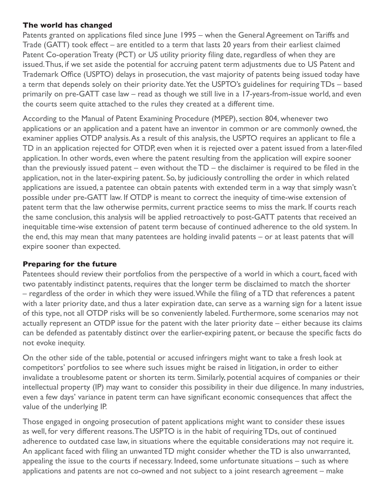## **The world has changed**

Patents granted on applications filed since June 1995 – when the General Agreement on Tariffs and Trade (GATT) took effect – are entitled to a term that lasts 20 years from their earliest claimed Patent Co-operation Treaty (PCT) or US utility priority filing date, regardless of when they are issued. Thus, if we set aside the potential for accruing patent term adjustments due to US Patent and Trademark Office (USPTO) delays in prosecution, the vast majority of patents being issued today have a term that depends solely on their priority date. Yet the USPTO's guidelines for requiring TDs – based primarily on pre-GATT case law – read as though we still live in a 17-years-from-issue world, and even the courts seem quite attached to the rules they created at a different time.

According to the Manual of Patent Examining Procedure (MPEP), section 804, whenever two applications or an application and a patent have an inventor in common or are commonly owned, the examiner applies OTDP analysis. As a result of this analysis, the USPTO requires an applicant to file a TD in an application rejected for OTDP, even when it is rejected over a patent issued from a later-filed application. In other words, even where the patent resulting from the application will expire sooner than the previously issued patent – even without the  $TD -$  the disclaimer is required to be filed in the application, not in the later-expiring patent. So, by judiciously controlling the order in which related applications are issued, a patentee can obtain patents with extended term in a way that simply wasn't possible under pre-GATT law. If OTDP is meant to correct the inequity of time-wise extension of patent term that the law otherwise permits, current practice seems to miss the mark. If courts reach the same conclusion, this analysis will be applied retroactively to post-GATT patents that received an inequitable time-wise extension of patent term because of continued adherence to the old system. In the end, this may mean that many patentees are holding invalid patents  $-$  or at least patents that will expire sooner than expected.

## **Preparing for the future**

Patentees should review their portfolios from the perspective of a world in which a court, faced with two patentably indistinct patents, requires that the longer term be disclaimed to match the shorter – regardless of the order in which they were issued. While the filing of a TD that references a patent with a later priority date, and thus a later expiration date, can serve as a warning sign for a latent issue of this type, not all OTDP risks will be so conveniently labeled. Furthermore, some scenarios may not actually represent an OTDP issue for the patent with the later priority date  $-$  either because its claims can be defended as patentably distinct over the earlier-expiring patent, or because the specific facts do not evoke inequity.

On the other side of the table, potential or accused infringers might want to take a fresh look at competitors' portfolios to see where such issues might be raised in litigation, in order to either invalidate a troublesome patent or shorten its term. Similarly, potential acquires of companies or their intellectual property (IP) may want to consider this possibility in their due diligence. In many industries, even a few days' variance in patent term can have significant economic consequences that affect the value of the underlying IP.

Those engaged in ongoing prosecution of patent applications might want to consider these issues as well, for very different reasons. The USPTO is in the habit of requiring TDs, out of continued adherence to outdated case law, in situations where the equitable considerations may not require it. An applicant faced with filing an unwanted TD might consider whether the TD is also unwarranted, appealing the issue to the courts if necessary. Indeed, some unfortunate situations  $-$  such as where applications and patents are not co-owned and not subject to a joint research agreement – make